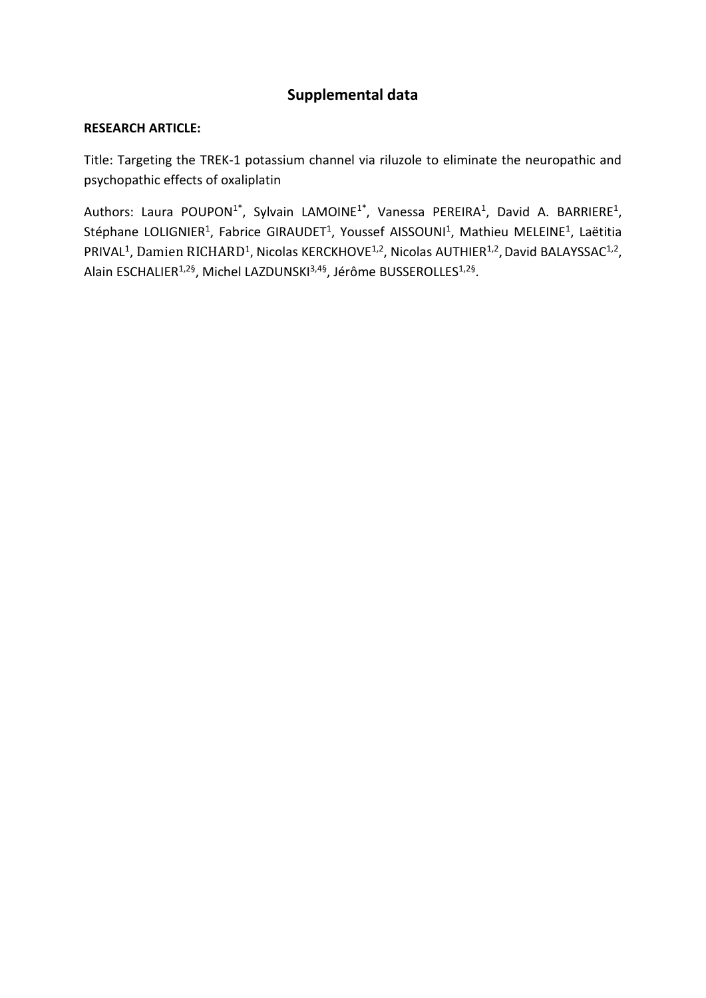# **Supplemental data**

### **RESEARCH ARTICLE:**

Title: Targeting the TREK-1 potassium channel via riluzole to eliminate the neuropathic and psychopathic effects of oxaliplatin

Authors: Laura POUPON<sup>1\*</sup>, Sylvain LAMOINE<sup>1\*</sup>, Vanessa PEREIRA<sup>1</sup>, David A. BARRIERE<sup>1</sup>, Stéphane LOLIGNIER<sup>1</sup>, Fabrice GIRAUDET<sup>1</sup>, Youssef AISSOUNI<sup>1</sup>, Mathieu MELEINE<sup>1</sup>, Laëtitia PRIVAL<sup>1</sup>, Damien RICHARD<sup>1</sup>, Nicolas KERCKHOVE<sup>1,2</sup>, Nicolas AUTHIER<sup>1,2</sup>, David BALAYSSAC<sup>1,2</sup>, Alain ESCHALIER<sup>1,2§</sup>, Michel LAZDUNSKI<sup>3,4§</sup>, Jérôme BUSSEROLLES<sup>1,2§</sup>.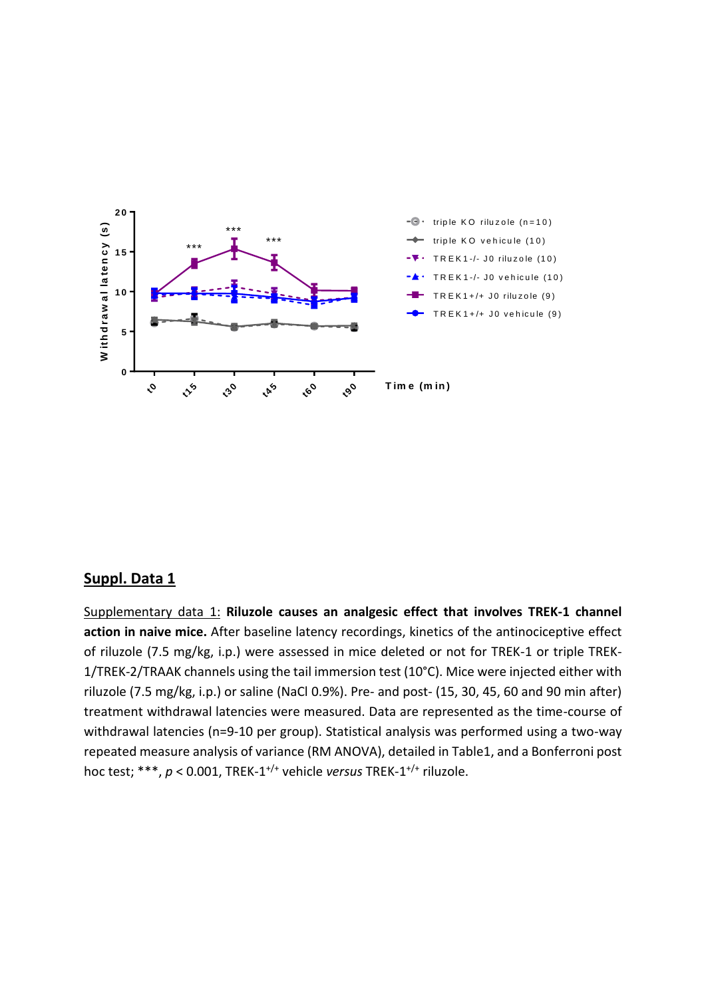

## **Suppl. Data 1**

Supplementary data 1: **Riluzole causes an analgesic effect that involves TREK-1 channel action in naive mice.** After baseline latency recordings, kinetics of the antinociceptive effect of riluzole (7.5 mg/kg, i.p.) were assessed in mice deleted or not for TREK-1 or triple TREK-1/TREK-2/TRAAK channels using the tail immersion test (10°C). Mice were injected either with riluzole (7.5 mg/kg, i.p.) or saline (NaCl 0.9%). Pre- and post- (15, 30, 45, 60 and 90 min after) treatment withdrawal latencies were measured. Data are represented as the time-course of withdrawal latencies (n=9-10 per group). Statistical analysis was performed using a two-way repeated measure analysis of variance (RM ANOVA), detailed in Table1, and a Bonferroni post hoc test; \*\*\*, *p* < 0.001, TREK-1 +/+ vehicle *versus* TREK-1 +/+ riluzole.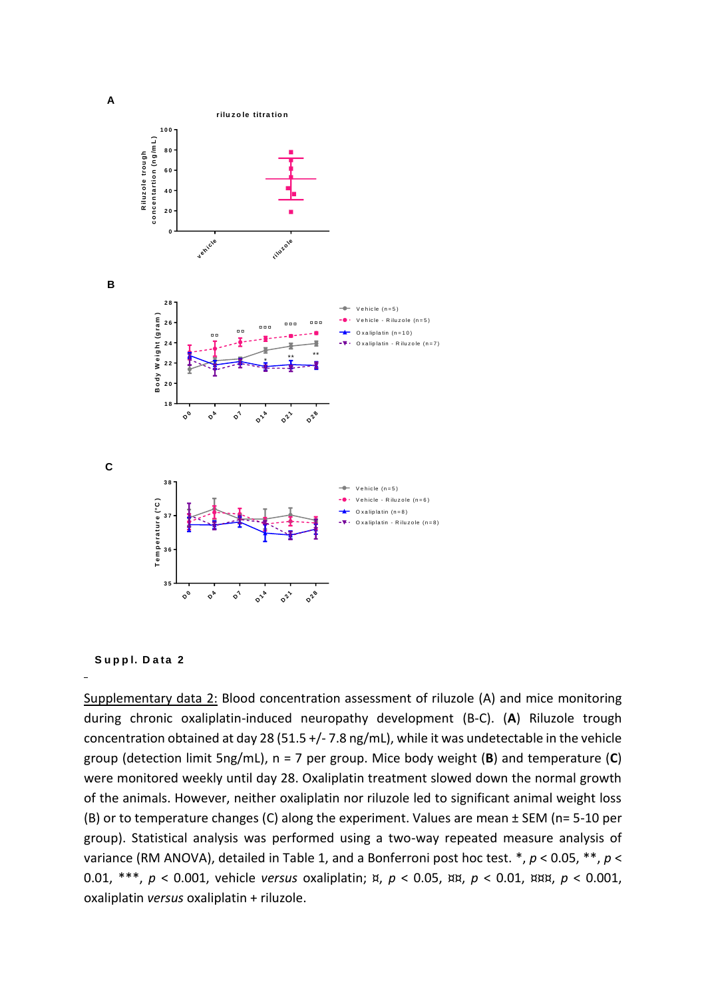



Supplementary data 2: Blood concentration assessment of riluzole (A) and mice monitoring during chronic oxaliplatin-induced neuropathy development (B-C). (**A**) Riluzole trough concentration obtained at day 28 (51.5 +/- 7.8 ng/mL), while it was undetectable in the vehicle group (detection limit 5ng/mL), n = 7 per group. Mice body weight (**B**) and temperature (**C**) were monitored weekly until day 28. Oxaliplatin treatment slowed down the normal growth of the animals. However, neither oxaliplatin nor riluzole led to significant animal weight loss (B) or to temperature changes (C) along the experiment. Values are mean ± SEM (n= 5-10 per group). Statistical analysis was performed using a two-way repeated measure analysis of variance (RM ANOVA), detailed in Table 1, and a Bonferroni post hoc test. \*, *p* < 0.05, \*\*, *p* < 0.01, \*\*\*, *p* < 0.001, vehicle *versus* oxaliplatin; ¤, *p* < 0.05, ¤¤, *p* < 0.01, ¤¤¤, *p* < 0.001, oxaliplatin *versus* oxaliplatin + riluzole.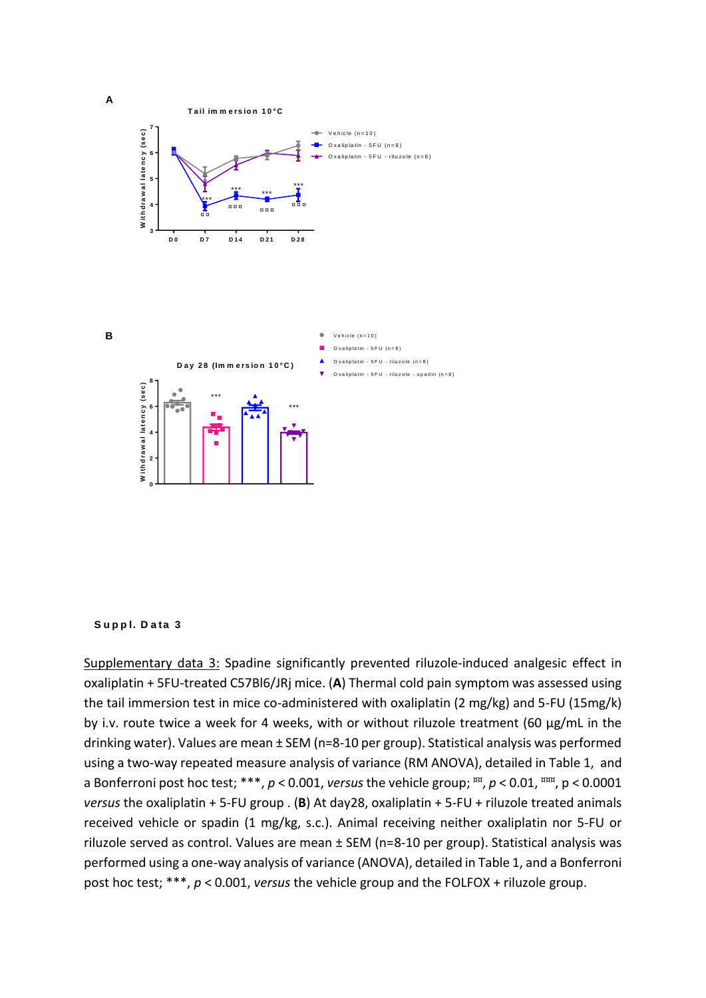

#### **S <sup>u</sup> p p l. D <sup>a</sup> ta 3**

Supplementary data 3: Spadine significantly prevented riluzole-induced analgesic effect in oxaliplatin + 5FU-treated C57Bl6/JRj mice. (**A**) Thermal cold pain symptom was assessed using the tail immersion test in mice co-administered with oxaliplatin (2 mg/kg) and 5-FU (15mg/k) by i.v. route twice a week for 4 weeks, with or without riluzole treatment (60 µg/mL in the drinking water). Values are mean ± SEM (n=8-10 per group). Statistical analysis was performed using a two-way repeated measure analysis of variance (RM ANOVA), detailed in Table 1, and a Bonferroni post hoc test; \*\*\*, *p* < 0.001, *versus* the vehicle group; ¤¤ , *p* < 0.01, ¤¤¤, p < 0.0001 *versus* the oxaliplatin + 5-FU group . (**B**) At day28, oxaliplatin + 5-FU + riluzole treated animals received vehicle or spadin (1 mg/kg, s.c.). Animal receiving neither oxaliplatin nor 5-FU or riluzole served as control. Values are mean ± SEM (n=8-10 per group). Statistical analysis was performed using a one-way analysis of variance (ANOVA), detailed in Table 1, and a Bonferroni post hoc test; \*\*\*, *p* < 0.001, *versus* the vehicle group and the FOLFOX + riluzole group.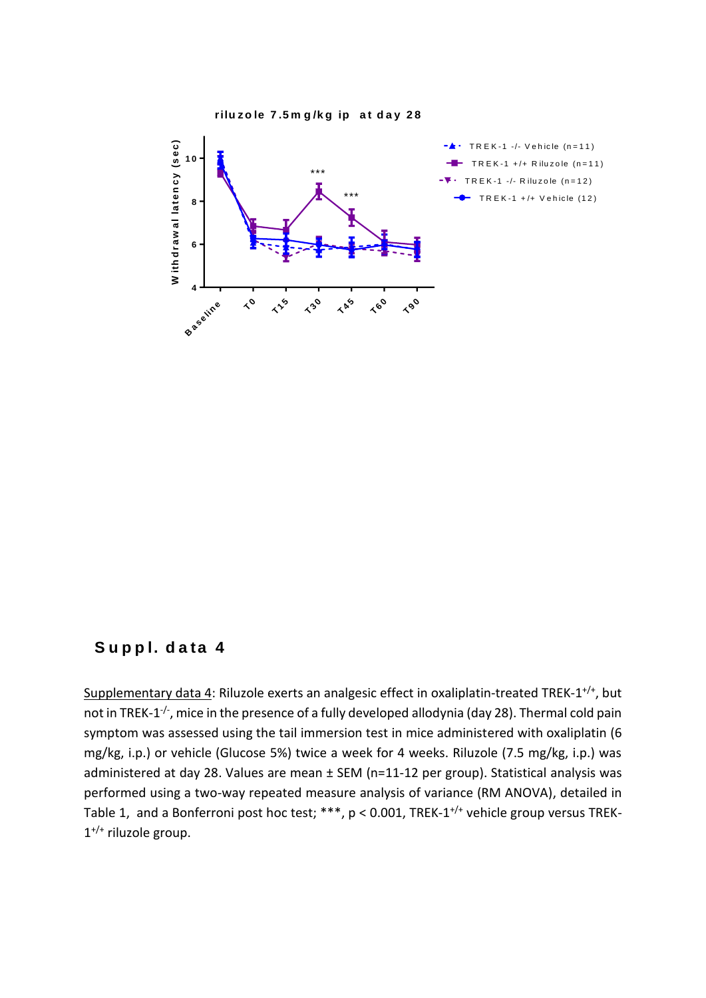

## **S <sup>u</sup> p p l. d <sup>a</sup> ta 4**

Supplementary data 4: Riluzole exerts an analgesic effect in oxaliplatin-treated TREK-1<sup>+/+</sup>, but not in TREK-1<sup>-/-</sup>, mice in the presence of a fully developed allodynia (day 28). Thermal cold pain symptom was assessed using the tail immersion test in mice administered with oxaliplatin (6 mg/kg, i.p.) or vehicle (Glucose 5%) twice a week for 4 weeks. Riluzole (7.5 mg/kg, i.p.) was administered at day 28. Values are mean ± SEM (n=11-12 per group). Statistical analysis was performed using a two-way repeated measure analysis of variance (RM ANOVA), detailed in Table 1, and a Bonferroni post hoc test; \*\*\*, p < 0.001, TREK-1<sup>+/+</sup> vehicle group versus TREK-1 +/+ riluzole group.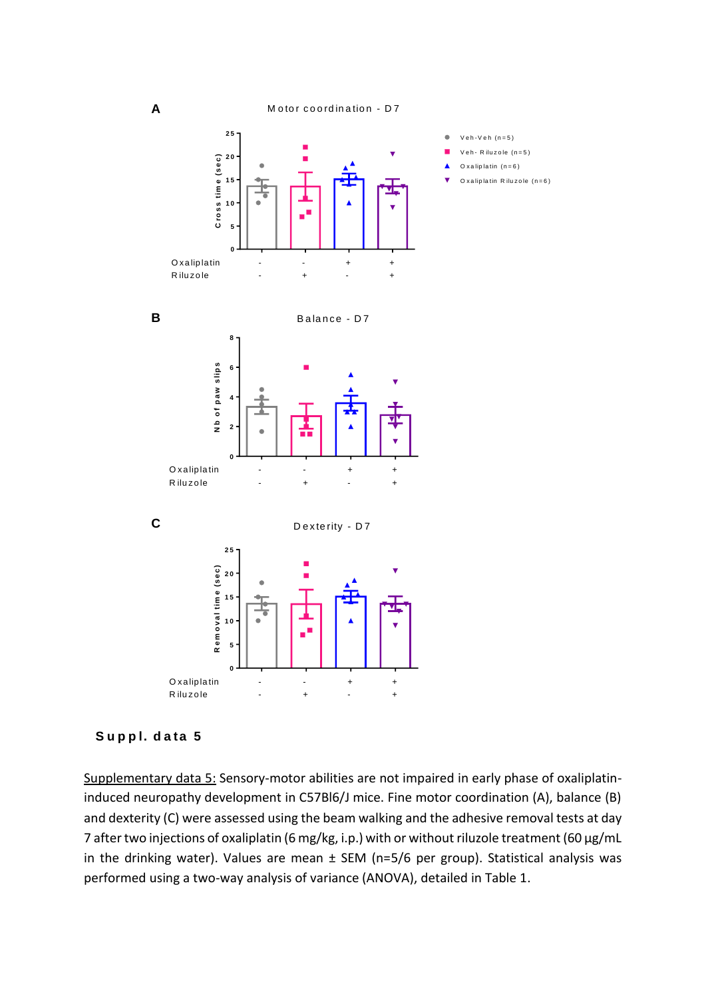$Veh-Veh$  (n=5)  $V e h - R$  ilu zo le  $(n=5)$ O x a lip latin  $(n=6)$  $O$  x a lip latin R ilu zo le  $(n=6)$ 

 $\bullet$ п





Supplementary data 5: Sensory-motor abilities are not impaired in early phase of oxaliplatininduced neuropathy development in C57Bl6/J mice. Fine motor coordination (A), balance (B) and dexterity (C) were assessed using the beam walking and the adhesive removal tests at day 7 after two injections of oxaliplatin (6 mg/kg, i.p.) with or without riluzole treatment (60 µg/mL in the drinking water). Values are mean ± SEM (n=5/6 per group). Statistical analysis was performed using a two-way analysis of variance (ANOVA), detailed in Table 1.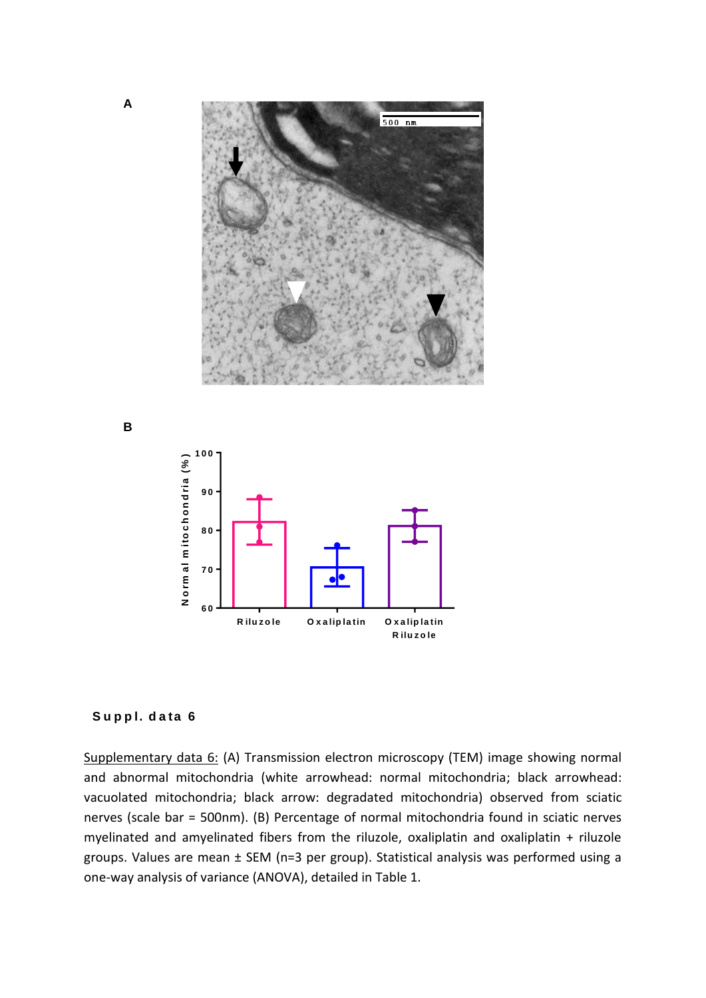

**B**



### **S u p p l. d a ta 6**

Supplementary data 6: (A) Transmission electron microscopy (TEM) image showing normal and abnormal mitochondria (white arrowhead: normal mitochondria; black arrowhead: vacuolated mitochondria; black arrow: degradated mitochondria) observed from sciatic nerves (scale bar = 500nm). (B) Percentage of normal mitochondria found in sciatic nerves myelinated and amyelinated fibers from the riluzole, oxaliplatin and oxaliplatin + riluzole groups. Values are mean ± SEM (n=3 per group). Statistical analysis was performed using a one-way analysis of variance (ANOVA), detailed in Table 1.